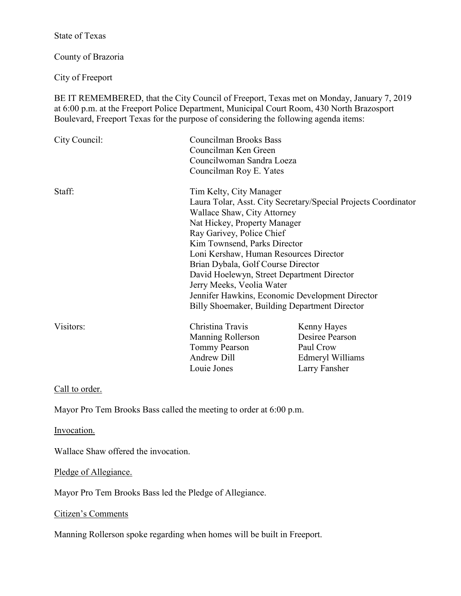State of Texas

County of Brazoria

City of Freeport

BE IT REMEMBERED, that the City Council of Freeport, Texas met on Monday, January 7, 2019 at 6:00 p.m. at the Freeport Police Department, Municipal Court Room, 430 North Brazosport Boulevard, Freeport Texas for the purpose of considering the following agenda items:

| City Council: | Councilman Brooks Bass<br>Councilman Ken Green<br>Councilwoman Sandra Loeza |                  |
|---------------|-----------------------------------------------------------------------------|------------------|
|               |                                                                             |                  |
|               | Councilman Roy E. Yates                                                     |                  |
| Staff:        | Tim Kelty, City Manager                                                     |                  |
|               | Laura Tolar, Asst. City Secretary/Special Projects Coordinator              |                  |
|               | Wallace Shaw, City Attorney                                                 |                  |
|               | Nat Hickey, Property Manager                                                |                  |
|               | Ray Garivey, Police Chief                                                   |                  |
|               | Kim Townsend, Parks Director                                                |                  |
|               | Loni Kershaw, Human Resources Director                                      |                  |
|               | Brian Dybala, Golf Course Director                                          |                  |
|               | David Hoelewyn, Street Department Director                                  |                  |
|               | Jerry Meeks, Veolia Water                                                   |                  |
|               | Jennifer Hawkins, Economic Development Director                             |                  |
|               | Billy Shoemaker, Building Department Director                               |                  |
| Visitors:     | Christina Travis                                                            | Kenny Hayes      |
|               | Manning Rollerson                                                           | Desiree Pearson  |
|               | <b>Tommy Pearson</b>                                                        | Paul Crow        |
|               | Andrew Dill                                                                 | Edmeryl Williams |
|               | Louie Jones                                                                 | Larry Fansher    |

# Call to order.

Mayor Pro Tem Brooks Bass called the meeting to order at 6:00 p.m.

Invocation.

Wallace Shaw offered the invocation.

Pledge of Allegiance.

Mayor Pro Tem Brooks Bass led the Pledge of Allegiance.

# Citizen's Comments

Manning Rollerson spoke regarding when homes will be built in Freeport.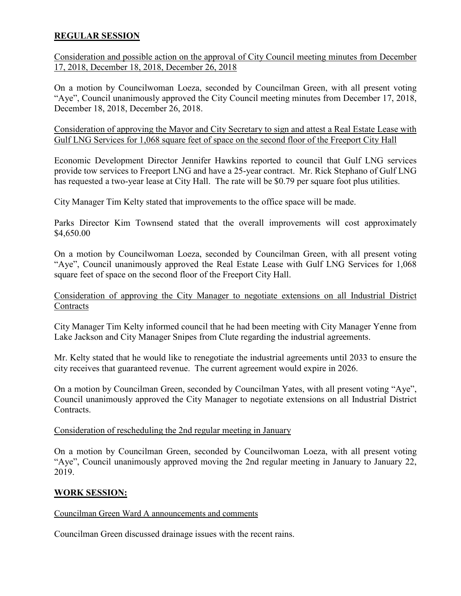# **REGULAR SESSION**

Consideration and possible action on the approval of City Council meeting minutes from December 17, 2018, December 18, 2018, December 26, 2018

On a motion by Councilwoman Loeza, seconded by Councilman Green, with all present voting "Aye", Council unanimously approved the City Council meeting minutes from December 17, 2018, December 18, 2018, December 26, 2018.

Consideration of approving the Mayor and City Secretary to sign and attest a Real Estate Lease with Gulf LNG Services for 1,068 square feet of space on the second floor of the Freeport City Hall

Economic Development Director Jennifer Hawkins reported to council that Gulf LNG services provide tow services to Freeport LNG and have a 25-year contract. Mr. Rick Stephano of Gulf LNG has requested a two-year lease at City Hall. The rate will be \$0.79 per square foot plus utilities.

City Manager Tim Kelty stated that improvements to the office space will be made.

Parks Director Kim Townsend stated that the overall improvements will cost approximately \$4,650.00

On a motion by Councilwoman Loeza, seconded by Councilman Green, with all present voting "Aye", Council unanimously approved the Real Estate Lease with Gulf LNG Services for 1,068 square feet of space on the second floor of the Freeport City Hall.

Consideration of approving the City Manager to negotiate extensions on all Industrial District **Contracts** 

City Manager Tim Kelty informed council that he had been meeting with City Manager Yenne from Lake Jackson and City Manager Snipes from Clute regarding the industrial agreements.

Mr. Kelty stated that he would like to renegotiate the industrial agreements until 2033 to ensure the city receives that guaranteed revenue. The current agreement would expire in 2026.

On a motion by Councilman Green, seconded by Councilman Yates, with all present voting "Aye", Council unanimously approved the City Manager to negotiate extensions on all Industrial District Contracts.

### Consideration of rescheduling the 2nd regular meeting in January

On a motion by Councilman Green, seconded by Councilwoman Loeza, with all present voting "Aye", Council unanimously approved moving the 2nd regular meeting in January to January 22, 2019.

### **WORK SESSION:**

#### Councilman Green Ward A announcements and comments

Councilman Green discussed drainage issues with the recent rains.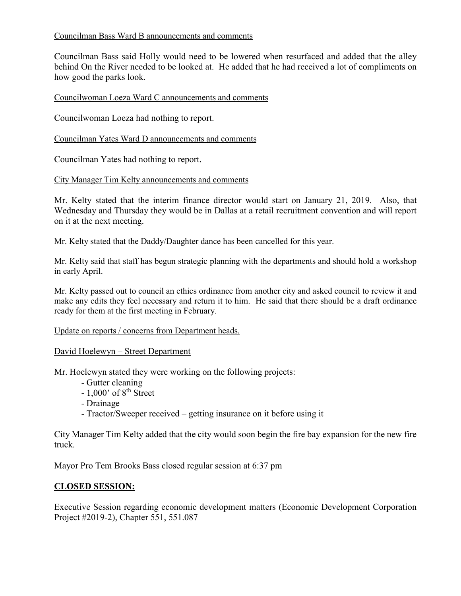# Councilman Bass Ward B announcements and comments

Councilman Bass said Holly would need to be lowered when resurfaced and added that the alley behind On the River needed to be looked at. He added that he had received a lot of compliments on how good the parks look.

#### Councilwoman Loeza Ward C announcements and comments

Councilwoman Loeza had nothing to report.

Councilman Yates Ward D announcements and comments

Councilman Yates had nothing to report.

#### City Manager Tim Kelty announcements and comments

Mr. Kelty stated that the interim finance director would start on January 21, 2019. Also, that Wednesday and Thursday they would be in Dallas at a retail recruitment convention and will report on it at the next meeting.

Mr. Kelty stated that the Daddy/Daughter dance has been cancelled for this year.

Mr. Kelty said that staff has begun strategic planning with the departments and should hold a workshop in early April.

Mr. Kelty passed out to council an ethics ordinance from another city and asked council to review it and make any edits they feel necessary and return it to him. He said that there should be a draft ordinance ready for them at the first meeting in February.

### Update on reports / concerns from Department heads.

### David Hoelewyn – Street Department

Mr. Hoelewyn stated they were working on the following projects:

- Gutter cleaning
- $-1,000'$  of  $8<sup>th</sup>$  Street
- Drainage
- Tractor/Sweeper received getting insurance on it before using it

City Manager Tim Kelty added that the city would soon begin the fire bay expansion for the new fire truck.

Mayor Pro Tem Brooks Bass closed regular session at 6:37 pm

### **CLOSED SESSION:**

Executive Session regarding economic development matters (Economic Development Corporation Project #2019-2), Chapter 551, 551.087